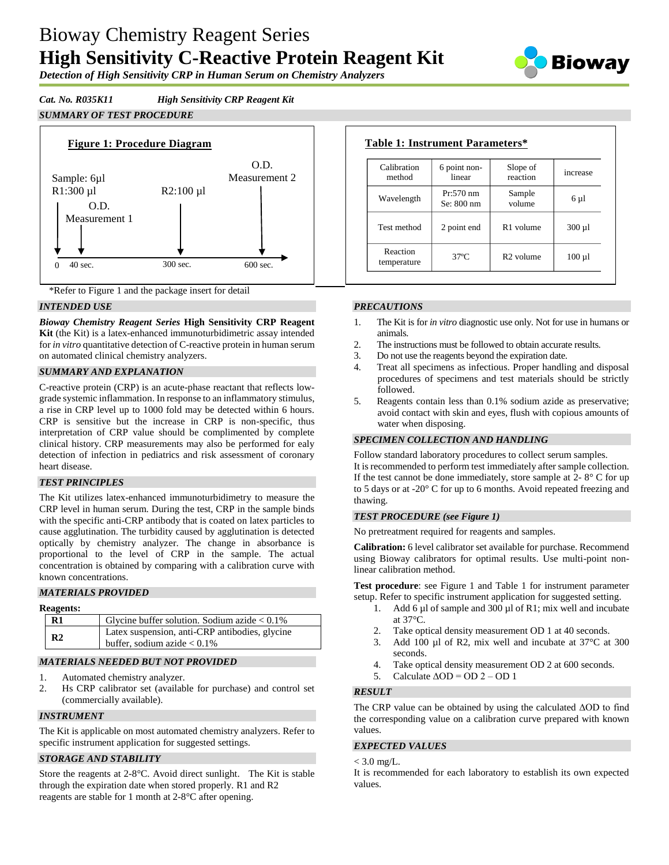# Bioway Chemistry Reagent Series **High Sensitivity C-Reactive Protein Reagent Kit**



*Detection of High Sensitivity CRP in Human Serum on Chemistry Analyzers*

### *Cat. No. R035K11 High Sensitivity CRP Reagent Kit*





\*Refer to Figure 1 and the package insert for detail

#### *INTENDED USE*

*Bioway Chemistry Reagent Series* **High Sensitivity CRP Reagent Kit** (the Kit) is a latex-enhanced immunoturbidimetric assay intended for *in vitro* quantitative detection of C-reactive protein in human serum on automated clinical chemistry analyzers.

#### *SUMMARY AND EXPLANATION*

C-reactive protein (CRP) is an acute-phase reactant that reflects lowgrade systemic inflammation. In response to an inflammatory stimulus, a rise in CRP level up to 1000 fold may be detected within 6 hours. CRP is sensitive but the increase in CRP is non-specific, thus interpretation of CRP value should be complimented by complete clinical history. CRP measurements may also be performed for ealy detection of infection in pediatrics and risk assessment of coronary heart disease.

#### *TEST PRINCIPLES*

The Kit utilizes latex-enhanced immunoturbidimetry to measure the CRP level in human serum. During the test, CRP in the sample binds with the specific anti-CRP antibody that is coated on latex particles to cause agglutination. The turbidity caused by agglutination is detected optically by chemistry analyzer. The change in absorbance is proportional to the level of CRP in the sample. The actual concentration is obtained by comparing with a calibration curve with known concentrations.

#### *MATERIALS PROVIDED*

#### **Reagents:**

| -----------    |                                                                                  |  |
|----------------|----------------------------------------------------------------------------------|--|
| $\mathbf{R}1$  | Glycine buffer solution. Sodium azide $< 0.1\%$                                  |  |
| R <sub>2</sub> | Latex suspension, anti-CRP antibodies, glycine<br>buffer, sodium azide $< 0.1\%$ |  |
|                |                                                                                  |  |

#### *MATERIALS NEEDED BUT NOT PROVIDED*

- 1. Automated chemistry analyzer.
- 2. Hs CRP calibrator set (available for purchase) and control set (commercially available).

#### *INSTRUMENT*

The Kit is applicable on most automated chemistry analyzers. Refer to specific instrument application for suggested settings.

#### *STORAGE AND STABILITY*

Store the reagents at 2-8°C. Avoid direct sunlight. The Kit is stable through the expiration date when stored properly. R1 and R2 reagents are stable for 1 month at 2-8°C after opening.

| Calibration<br>method   | 6 point non-<br>linear     | Slope of<br>reaction  | increase    |
|-------------------------|----------------------------|-----------------------|-------------|
| Wavelength              | $Pr: 570$ nm<br>Se: 800 nm | Sample<br>volume      | 6 µ1        |
| Test method             | 2 point end                | R <sub>1</sub> volume | $300 \mu l$ |
| Reaction<br>temperature | $37^\circ$ C               | R <sub>2</sub> volume | $100 \mu l$ |

#### *PRECAUTIONS*

- 1. The Kit is for *in vitro* diagnostic use only. Not for use in humans or animals.
- 2. The instructions must be followed to obtain accurate results.
- 3. Do not use the reagents beyond the expiration date.
- 4. Treat all specimens as infectious. Proper handling and disposal procedures of specimens and test materials should be strictly followed.
- 5. Reagents contain less than 0.1% sodium azide as preservative; avoid contact with skin and eyes, flush with copious amounts of water when disposing.

#### *SPECIMEN COLLECTION AND HANDLING*

Follow standard laboratory procedures to collect serum samples. It is recommended to perform test immediately after sample collection. If the test cannot be done immediately, store sample at  $2 - 8^\circ$  C for up to 5 days or at -20° C for up to 6 months. Avoid repeated freezing and thawing.

#### *TEST PROCEDURE (see Figure 1)*

No pretreatment required for reagents and samples.

**Calibration:** 6 level calibrator set available for purchase. Recommend using Bioway calibrators for optimal results. Use multi-point nonlinear calibration method.

**Test procedure**: see Figure 1 and Table 1 for instrument parameter setup. Refer to specific instrument application for suggested setting.

- 1. Add 6 µl of sample and 300 µl of R1; mix well and incubate at 37°C.
- 2. Take optical density measurement OD 1 at 40 seconds.
- 3. Add 100 µl of R2, mix well and incubate at 37°C at 300 seconds.
- 4. Take optical density measurement OD 2 at 600 seconds.
- 5. Calculate  $\triangle$ OD = OD 2 OD 1

#### *RESULT*

The CRP value can be obtained by using the calculated ΔOD to find the corresponding value on a calibration curve prepared with known values.

#### *EXPECTED VALUES*

#### $< 3.0$  mg/L.

It is recommended for each laboratory to establish its own expected values.